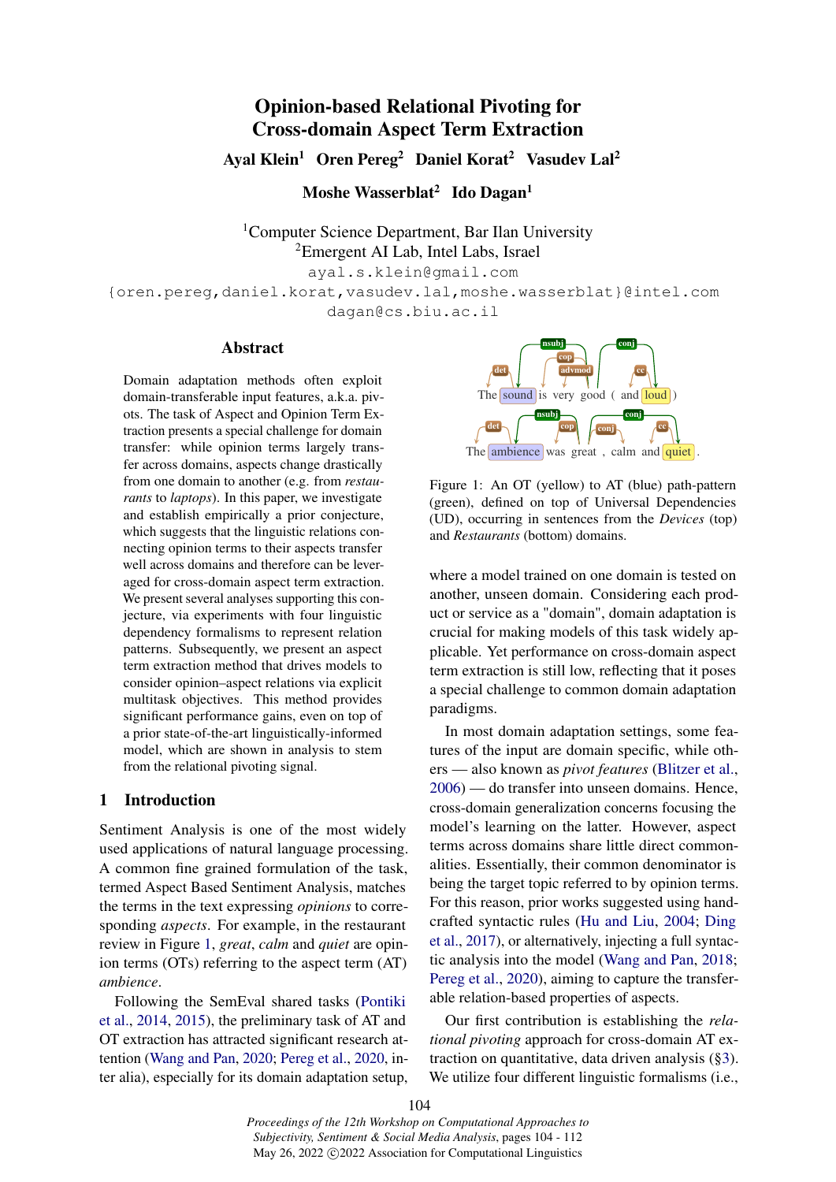# Opinion-based Relational Pivoting for Cross-domain Aspect Term Extraction

Ayal Klein<sup>1</sup> Oren Pereg<sup>2</sup> Daniel Korat<sup>2</sup> Vasudev Lal<sup>2</sup>

Moshe Wasserblat<sup>2</sup> Ido Dagan<sup>1</sup>

<sup>1</sup>Computer Science Department, Bar Ilan University <sup>2</sup>Emergent AI Lab, Intel Labs, Israel

ayal.s.klein@gmail.com

{oren.pereg,daniel.korat,vasudev.lal,moshe.wasserblat}@intel.com dagan@cs.biu.ac.il

### Abstract

Domain adaptation methods often exploit domain-transferable input features, a.k.a. pivots. The task of Aspect and Opinion Term Extraction presents a special challenge for domain transfer: while opinion terms largely transfer across domains, aspects change drastically from one domain to another (e.g. from *restaurants* to *laptops*). In this paper, we investigate and establish empirically a prior conjecture, which suggests that the linguistic relations connecting opinion terms to their aspects transfer well across domains and therefore can be leveraged for cross-domain aspect term extraction. We present several analyses supporting this conjecture, via experiments with four linguistic dependency formalisms to represent relation patterns. Subsequently, we present an aspect term extraction method that drives models to consider opinion–aspect relations via explicit multitask objectives. This method provides significant performance gains, even on top of a prior state-of-the-art linguistically-informed model, which are shown in analysis to stem from the relational pivoting signal.

#### 1 Introduction

Sentiment Analysis is one of the most widely used applications of natural language processing. A common fine grained formulation of the task, termed Aspect Based Sentiment Analysis, matches the terms in the text expressing *opinions* to corresponding *aspects*. For example, in the restaurant review in Figure [1,](#page-0-0) *great*, *calm* and *quiet* are opinion terms (OTs) referring to the aspect term (AT) *ambience*.

Following the SemEval shared tasks [\(Pontiki](#page-5-0) [et al.,](#page-5-0) [2014,](#page-5-0) [2015\)](#page-5-1), the preliminary task of AT and OT extraction has attracted significant research attention [\(Wang and Pan,](#page-5-2) [2020;](#page-5-2) [Pereg et al.,](#page-5-3) [2020,](#page-5-3) inter alia), especially for its domain adaptation setup,

<span id="page-0-0"></span>

Figure 1: An OT (yellow) to AT (blue) path-pattern (green), defined on top of Universal Dependencies (UD), occurring in sentences from the *Devices* (top) and *Restaurants* (bottom) domains.

where a model trained on one domain is tested on another, unseen domain. Considering each product or service as a "domain", domain adaptation is crucial for making models of this task widely applicable. Yet performance on cross-domain aspect term extraction is still low, reflecting that it poses a special challenge to common domain adaptation paradigms.

In most domain adaptation settings, some features of the input are domain specific, while others — also known as *pivot features* [\(Blitzer et al.,](#page-5-4) [2006\)](#page-5-4) — do transfer into unseen domains. Hence, cross-domain generalization concerns focusing the model's learning on the latter. However, aspect terms across domains share little direct commonalities. Essentially, their common denominator is being the target topic referred to by opinion terms. For this reason, prior works suggested using handcrafted syntactic rules [\(Hu and Liu,](#page-5-5) [2004;](#page-5-5) [Ding](#page-5-6) [et al.,](#page-5-6) [2017\)](#page-5-6), or alternatively, injecting a full syntactic analysis into the model [\(Wang and Pan,](#page-5-7) [2018;](#page-5-7) [Pereg et al.,](#page-5-3) [2020\)](#page-5-3), aiming to capture the transferable relation-based properties of aspects.

Our first contribution is establishing the *relational pivoting* approach for cross-domain AT extraction on quantitative, data driven analysis ([§3\)](#page-1-0). We utilize four different linguistic formalisms (i.e.,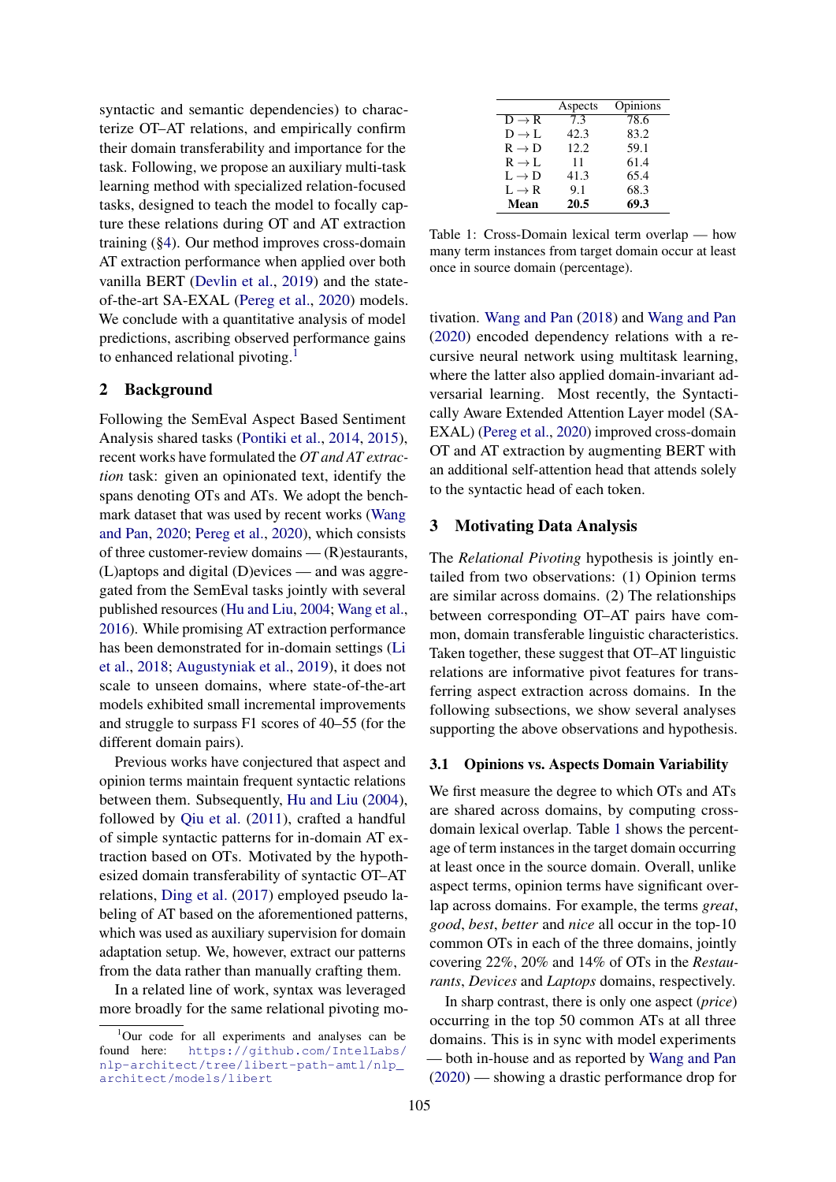syntactic and semantic dependencies) to characterize OT–AT relations, and empirically confirm their domain transferability and importance for the task. Following, we propose an auxiliary multi-task learning method with specialized relation-focused tasks, designed to teach the model to focally capture these relations during OT and AT extraction training ([§4\)](#page-3-0). Our method improves cross-domain AT extraction performance when applied over both vanilla BERT [\(Devlin et al.,](#page-5-8) [2019\)](#page-5-8) and the stateof-the-art SA-EXAL [\(Pereg et al.,](#page-5-3) [2020\)](#page-5-3) models. We conclude with a quantitative analysis of model predictions, ascribing observed performance gains to enhanced relational pivoting.<sup>[1](#page-1-1)</sup>

## <span id="page-1-3"></span>2 Background

Following the SemEval Aspect Based Sentiment Analysis shared tasks [\(Pontiki et al.,](#page-5-0) [2014,](#page-5-0) [2015\)](#page-5-1), recent works have formulated the *OT and AT extraction* task: given an opinionated text, identify the spans denoting OTs and ATs. We adopt the benchmark dataset that was used by recent works [\(Wang](#page-5-2) [and Pan,](#page-5-2) [2020;](#page-5-2) [Pereg et al.,](#page-5-3) [2020\)](#page-5-3), which consists of three customer-review domains — (R)estaurants, (L)aptops and digital (D)evices — and was aggregated from the SemEval tasks jointly with several published resources [\(Hu and Liu,](#page-5-5) [2004;](#page-5-5) [Wang et al.,](#page-5-9) [2016\)](#page-5-9). While promising AT extraction performance has been demonstrated for in-domain settings [\(Li](#page-5-10) [et al.,](#page-5-10) [2018;](#page-5-10) [Augustyniak et al.,](#page-5-11) [2019\)](#page-5-11), it does not scale to unseen domains, where state-of-the-art models exhibited small incremental improvements and struggle to surpass F1 scores of 40–55 (for the different domain pairs).

Previous works have conjectured that aspect and opinion terms maintain frequent syntactic relations between them. Subsequently, [Hu and Liu](#page-5-5) [\(2004\)](#page-5-5), followed by [Qiu et al.](#page-5-12) [\(2011\)](#page-5-12), crafted a handful of simple syntactic patterns for in-domain AT extraction based on OTs. Motivated by the hypothesized domain transferability of syntactic OT–AT relations, [Ding et al.](#page-5-6) [\(2017\)](#page-5-6) employed pseudo labeling of AT based on the aforementioned patterns, which was used as auxiliary supervision for domain adaptation setup. We, however, extract our patterns from the data rather than manually crafting them.

In a related line of work, syntax was leveraged more broadly for the same relational pivoting mo-

<span id="page-1-2"></span>

|                   | Aspects | Opinions |
|-------------------|---------|----------|
| $D \rightarrow R$ | 7.3     | 78.6     |
| $D \rightarrow L$ | 42.3    | 83.2     |
| $R \rightarrow D$ | 12.2    | 59.1     |
| $R \to L$         | 11      | 61.4     |
| $L \rightarrow D$ | 41.3    | 65.4     |
| $L \rightarrow R$ | 9.1     | 68.3     |
| Mean              | 20.5    | 69.3     |

Table 1: Cross-Domain lexical term overlap — how many term instances from target domain occur at least once in source domain (percentage).

tivation. [Wang and Pan](#page-5-7) [\(2018\)](#page-5-7) and [Wang and Pan](#page-5-2) [\(2020\)](#page-5-2) encoded dependency relations with a recursive neural network using multitask learning, where the latter also applied domain-invariant adversarial learning. Most recently, the Syntactically Aware Extended Attention Layer model (SA-EXAL) [\(Pereg et al.,](#page-5-3) [2020\)](#page-5-3) improved cross-domain OT and AT extraction by augmenting BERT with an additional self-attention head that attends solely to the syntactic head of each token.

#### <span id="page-1-0"></span>3 Motivating Data Analysis

The *Relational Pivoting* hypothesis is jointly entailed from two observations: (1) Opinion terms are similar across domains. (2) The relationships between corresponding OT–AT pairs have common, domain transferable linguistic characteristics. Taken together, these suggest that OT–AT linguistic relations are informative pivot features for transferring aspect extraction across domains. In the following subsections, we show several analyses supporting the above observations and hypothesis.

### 3.1 Opinions vs. Aspects Domain Variability

We first measure the degree to which OTs and ATs are shared across domains, by computing crossdomain lexical overlap. Table [1](#page-1-2) shows the percentage of term instances in the target domain occurring at least once in the source domain. Overall, unlike aspect terms, opinion terms have significant overlap across domains. For example, the terms *great*, *good*, *best*, *better* and *nice* all occur in the top-10 common OTs in each of the three domains, jointly covering 22%, 20% and 14% of OTs in the *Restaurants*, *Devices* and *Laptops* domains, respectively.

In sharp contrast, there is only one aspect (*price*) occurring in the top 50 common ATs at all three domains. This is in sync with model experiments — both in-house and as reported by [Wang and Pan](#page-5-2) [\(2020\)](#page-5-2) — showing a drastic performance drop for

<span id="page-1-1"></span><sup>&</sup>lt;sup>1</sup>Our code for all experiments and analyses can be found here: [https://github.com/IntelLabs/](https://github.com/IntelLabs/nlp-architect/tree/libert-path-amtl/nlp_architect/models/libert) [nlp-architect/tree/libert-path-amtl/nlp\\_](https://github.com/IntelLabs/nlp-architect/tree/libert-path-amtl/nlp_architect/models/libert) [architect/models/libert](https://github.com/IntelLabs/nlp-architect/tree/libert-path-amtl/nlp_architect/models/libert)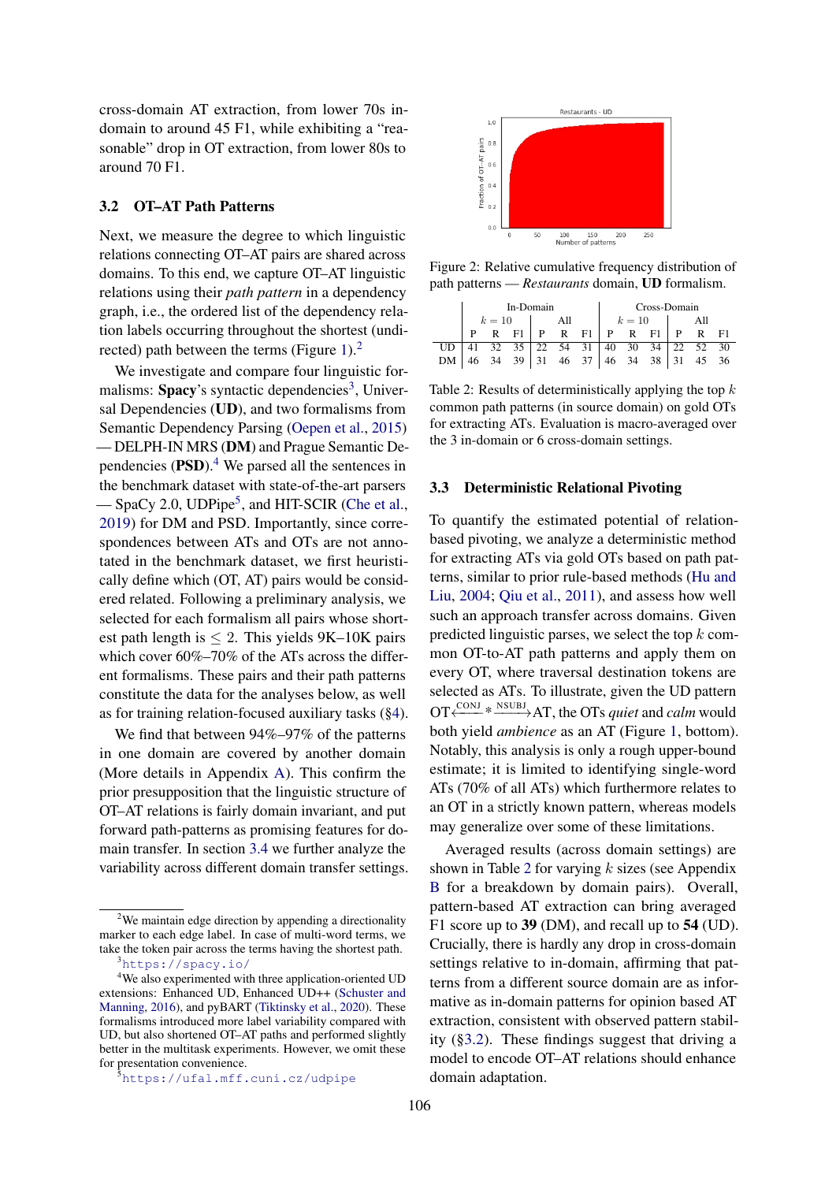cross-domain AT extraction, from lower 70s indomain to around 45 F1, while exhibiting a "reasonable" drop in OT extraction, from lower 80s to around 70 F1.

## <span id="page-2-5"></span>3.2 OT–AT Path Patterns

Next, we measure the degree to which linguistic relations connecting OT–AT pairs are shared across domains. To this end, we capture OT–AT linguistic relations using their *path pattern* in a dependency graph, i.e., the ordered list of the dependency relation labels occurring throughout the shortest (undi-rected) path between the terms (Figure [1\)](#page-0-0). $<sup>2</sup>$  $<sup>2</sup>$  $<sup>2</sup>$ </sup>

We investigate and compare four linguistic for-malisms: Spacy's syntactic dependencies<sup>[3](#page-2-1)</sup>, Universal Dependencies (UD), and two formalisms from Semantic Dependency Parsing [\(Oepen et al.,](#page-5-13) [2015\)](#page-5-13) — DELPH-IN MRS (DM) and Prague Semantic Dependencies  $(PSD)$ .<sup>[4](#page-2-2)</sup> We parsed all the sentences in the benchmark dataset with state-of-the-art parsers — SpaCy 2.0, UDPipe<sup>[5](#page-2-3)</sup>, and HIT-SCIR [\(Che et al.,](#page-5-14) [2019\)](#page-5-14) for DM and PSD. Importantly, since correspondences between ATs and OTs are not annotated in the benchmark dataset, we first heuristically define which (OT, AT) pairs would be considered related. Following a preliminary analysis, we selected for each formalism all pairs whose shortest path length is  $\leq$  2. This yields 9K–10K pairs which cover 60%–70% of the ATs across the different formalisms. These pairs and their path patterns constitute the data for the analyses below, as well as for training relation-focused auxiliary tasks ([§4\)](#page-3-0).

We find that between 94%–97% of the patterns in one domain are covered by another domain (More details in Appendix [A\)](#page-5-15). This confirm the prior presupposition that the linguistic structure of OT–AT relations is fairly domain invariant, and put forward path-patterns as promising features for domain transfer. In section [3.4](#page-3-1) we further analyze the variability across different domain transfer settings.

<span id="page-2-6"></span>

Figure 2: Relative cumulative frequency distribution of path patterns — *Restaurants* domain, UD formalism.

<span id="page-2-4"></span>

|           | In-Domain |  |                                 |  |        | Cross-Domain |     |  |  |  |  |  |
|-----------|-----------|--|---------------------------------|--|--------|--------------|-----|--|--|--|--|--|
|           | $k=10$    |  | All                             |  | $k=10$ |              | All |  |  |  |  |  |
|           |           |  | R F1   P R F1   P R F1   P R F1 |  |        |              |     |  |  |  |  |  |
| UD.       |           |  |                                 |  |        |              |     |  |  |  |  |  |
| <b>DM</b> |           |  |                                 |  |        |              |     |  |  |  |  |  |

Table 2: Results of deterministically applying the top  $k$ common path patterns (in source domain) on gold OTs for extracting ATs. Evaluation is macro-averaged over the 3 in-domain or 6 cross-domain settings.

#### <span id="page-2-7"></span>3.3 Deterministic Relational Pivoting

To quantify the estimated potential of relationbased pivoting, we analyze a deterministic method for extracting ATs via gold OTs based on path patterns, similar to prior rule-based methods [\(Hu and](#page-5-5) [Liu,](#page-5-5) [2004;](#page-5-5) [Qiu et al.,](#page-5-12) [2011\)](#page-5-12), and assess how well such an approach transfer across domains. Given predicted linguistic parses, we select the top  $k$  common OT-to-AT path patterns and apply them on every OT, where traversal destination tokens are selected as ATs. To illustrate, given the UD pattern OT<sup>  $\xrightarrow{CONJ}$ </sup>  $\overset{\text{NSUBJ}}{\longrightarrow}$  AT, the OTs *quiet* and *calm* would both yield *ambience* as an AT (Figure [1,](#page-0-0) bottom). Notably, this analysis is only a rough upper-bound estimate; it is limited to identifying single-word ATs (70% of all ATs) which furthermore relates to an OT in a strictly known pattern, whereas models may generalize over some of these limitations.

Averaged results (across domain settings) are shown in Table [2](#page-2-4) for varying  $k$  sizes (see Appendix [B](#page-6-0) for a breakdown by domain pairs). Overall, pattern-based AT extraction can bring averaged F1 score up to 39 (DM), and recall up to 54 (UD). Crucially, there is hardly any drop in cross-domain settings relative to in-domain, affirming that patterns from a different source domain are as informative as in-domain patterns for opinion based AT extraction, consistent with observed pattern stability ([§3.2\)](#page-2-5). These findings suggest that driving a model to encode OT–AT relations should enhance domain adaptation.

<span id="page-2-0"></span><sup>&</sup>lt;sup>2</sup>We maintain edge direction by appending a directionality marker to each edge label. In case of multi-word terms, we take the token pair across the terms having the shortest path.

<span id="page-2-2"></span><span id="page-2-1"></span><sup>3</sup><https://spacy.io/>

<sup>&</sup>lt;sup>4</sup>We also experimented with three application-oriented UD extensions: Enhanced UD, Enhanced UD++ [\(Schuster and](#page-5-16) [Manning,](#page-5-16) [2016\)](#page-5-16), and pyBART [\(Tiktinsky et al.,](#page-5-17) [2020\)](#page-5-17). These formalisms introduced more label variability compared with UD, but also shortened OT–AT paths and performed slightly better in the multitask experiments. However, we omit these for presentation convenience.

<span id="page-2-3"></span> $5$ <https://ufal.mff.cuni.cz/udpipe>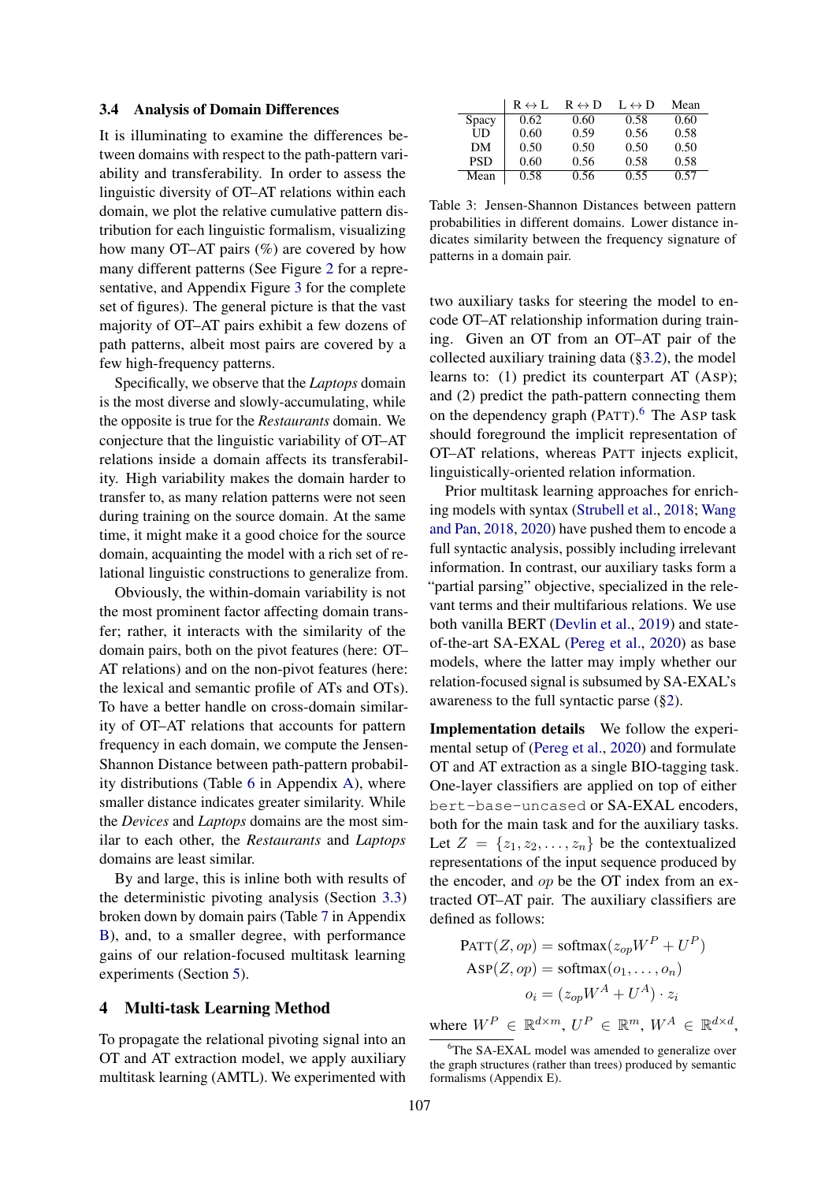#### <span id="page-3-1"></span>3.4 Analysis of Domain Differences

It is illuminating to examine the differences between domains with respect to the path-pattern variability and transferability. In order to assess the linguistic diversity of OT–AT relations within each domain, we plot the relative cumulative pattern distribution for each linguistic formalism, visualizing how many OT–AT pairs (%) are covered by how many different patterns (See Figure [2](#page-2-6) for a representative, and Appendix Figure [3](#page-7-0) for the complete set of figures). The general picture is that the vast majority of OT–AT pairs exhibit a few dozens of path patterns, albeit most pairs are covered by a few high-frequency patterns.

Specifically, we observe that the *Laptops* domain is the most diverse and slowly-accumulating, while the opposite is true for the *Restaurants* domain. We conjecture that the linguistic variability of OT–AT relations inside a domain affects its transferability. High variability makes the domain harder to transfer to, as many relation patterns were not seen during training on the source domain. At the same time, it might make it a good choice for the source domain, acquainting the model with a rich set of relational linguistic constructions to generalize from.

Obviously, the within-domain variability is not the most prominent factor affecting domain transfer; rather, it interacts with the similarity of the domain pairs, both on the pivot features (here: OT– AT relations) and on the non-pivot features (here: the lexical and semantic profile of ATs and OTs). To have a better handle on cross-domain similarity of OT–AT relations that accounts for pattern frequency in each domain, we compute the Jensen-Shannon Distance between path-pattern probability distributions (Table [6](#page-6-1) in Appendix [A\)](#page-5-15), where smaller distance indicates greater similarity. While the *Devices* and *Laptops* domains are the most similar to each other, the *Restaurants* and *Laptops* domains are least similar.

By and large, this is inline both with results of the deterministic pivoting analysis (Section [3.3\)](#page-2-7) broken down by domain pairs (Table [7](#page-7-1) in Appendix [B\)](#page-6-0), and, to a smaller degree, with performance gains of our relation-focused multitask learning experiments (Section [5\)](#page-4-0).

### <span id="page-3-0"></span>4 Multi-task Learning Method

To propagate the relational pivoting signal into an OT and AT extraction model, we apply auxiliary multitask learning (AMTL). We experimented with

|            | $R \leftrightarrow L$ | $R \leftrightarrow D$ | $L \leftrightarrow D$ | Mean |
|------------|-----------------------|-----------------------|-----------------------|------|
| Spacy      | 0.62                  | 0.60                  | 0.58                  | 0.60 |
| UD         | 0.60                  | 0.59                  | 0.56                  | 0.58 |
| DМ         | 0.50                  | 0.50                  | 0.50                  | 0.50 |
| <b>PSD</b> | 0.60                  | 0.56                  | 0.58                  | 0.58 |
| Mean       | 0.58                  | 0.56                  | 0.55                  | በ 57 |

Table 3: Jensen-Shannon Distances between pattern probabilities in different domains. Lower distance indicates similarity between the frequency signature of patterns in a domain pair.

two auxiliary tasks for steering the model to encode OT–AT relationship information during training. Given an OT from an OT–AT pair of the collected auxiliary training data ([§3.2\)](#page-2-5), the model learns to: (1) predict its counterpart AT (ASP); and (2) predict the path-pattern connecting them on the dependency graph  $(PATT)$ .<sup>[6](#page-3-2)</sup> The ASP task should foreground the implicit representation of OT–AT relations, whereas PATT injects explicit, linguistically-oriented relation information.

Prior multitask learning approaches for enriching models with syntax [\(Strubell et al.,](#page-5-18) [2018;](#page-5-18) [Wang](#page-5-7) [and Pan,](#page-5-7) [2018,](#page-5-7) [2020\)](#page-5-2) have pushed them to encode a full syntactic analysis, possibly including irrelevant information. In contrast, our auxiliary tasks form a "partial parsing" objective, specialized in the relevant terms and their multifarious relations. We use both vanilla BERT [\(Devlin et al.,](#page-5-8) [2019\)](#page-5-8) and stateof-the-art SA-EXAL [\(Pereg et al.,](#page-5-3) [2020\)](#page-5-3) as base models, where the latter may imply whether our relation-focused signal is subsumed by SA-EXAL's awareness to the full syntactic parse ([§2\)](#page-1-3).

Implementation details We follow the experimental setup of [\(Pereg et al.,](#page-5-3) [2020\)](#page-5-3) and formulate OT and AT extraction as a single BIO-tagging task. One-layer classifiers are applied on top of either bert-base-uncased or SA-EXAL encoders, both for the main task and for the auxiliary tasks. Let  $Z = \{z_1, z_2, \ldots, z_n\}$  be the contextualized representations of the input sequence produced by the encoder, and op be the OT index from an extracted OT–AT pair. The auxiliary classifiers are defined as follows:

$$
PATT(Z, op) = softmax(z_{op}W^{P} + U^{P})
$$
  
 
$$
ASP(Z, op) = softmax(o_1, ..., o_n)
$$
  
 
$$
o_i = (z_{op}W^{A} + U^{A}) \cdot z_i
$$

where  $W^P \in \mathbb{R}^{d \times m}$ ,  $U^P \in \mathbb{R}^m$ ,  $W^A \in \mathbb{R}^{d \times d}$ ,

<span id="page-3-2"></span><sup>&</sup>lt;sup>6</sup>The SA-EXAL model was amended to generalize over the graph structures (rather than trees) produced by semantic formalisms (Appendix E).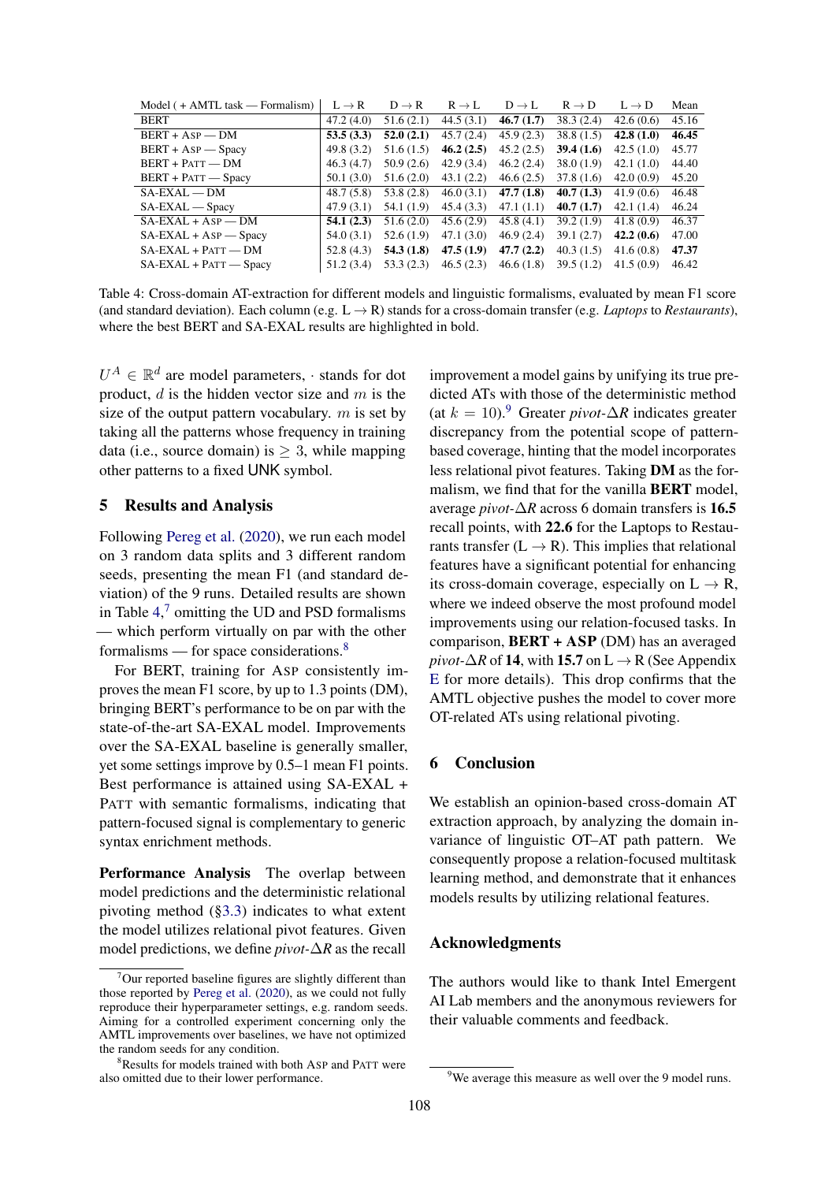<span id="page-4-1"></span>

| $Model$ ( + AMTL task — Formalism) | $L \rightarrow R$ | $D \rightarrow R$ | $R \rightarrow L$ | $D \rightarrow L$ | $R \rightarrow D$ | $L \rightarrow D$ | Mean  |
|------------------------------------|-------------------|-------------------|-------------------|-------------------|-------------------|-------------------|-------|
| <b>BERT</b>                        | 47.2(4.0)         | 51.6(2.1)         | 44.5(3.1)         | 46.7(1.7)         | 38.3(2.4)         | 42.6(0.6)         | 45.16 |
| $BERT + ASP$ - DM                  | 53.5(3.3)         | 52.0(2.1)         | 45.7(2.4)         | 45.9(2.3)         | 38.8(1.5)         | 42.8(1.0)         | 46.45 |
| $BERT + ASP - Spacy$               | 49.8(3.2)         | 51.6(1.5)         | 46.2(2.5)         | 45.2(2.5)         | 39.4(1.6)         | 42.5(1.0)         | 45.77 |
| $BERT + PATT - DM$                 | 46.3(4.7)         | 50.9(2.6)         | 42.9(3.4)         | 46.2(2.4)         | 38.0(1.9)         | 42.1(1.0)         | 44.40 |
| $BERT + PATT - Spacy$              | 50.1(3.0)         | 51.6(2.0)         | 43.1(2.2)         | 46.6(2.5)         | 37.8(1.6)         | 42.0(0.9)         | 45.20 |
| $SA$ -EXAL — DM                    | 48.7(5.8)         | 53.8(2.8)         | 46.0(3.1)         | 47.7(1.8)         | 40.7(1.3)         | 41.9(0.6)         | 46.48 |
| $SA$ -EXAL — Spacy                 | 47.9(3.1)         | 54.1 (1.9)        | 45.4(3.3)         | 47.1(1.1)         | 40.7(1.7)         | 42.1(1.4)         | 46.24 |
| $SA$ -EXAL + Asp – DM              | 54.1(2.3)         | 51.6(2.0)         | 45.6(2.9)         | 45.8(4.1)         | 39.2(1.9)         | 41.8(0.9)         | 46.37 |
| $SA$ -EXAL + As $P$ - Spacy        | 54.0(3.1)         | 52.6(1.9)         | 47.1(3.0)         | 46.9(2.4)         | 39.1(2.7)         | 42.2(0.6)         | 47.00 |
| $SA$ -EXAL + PATT — DM             | 52.8(4.3)         | 54.3(1.8)         | 47.5(1.9)         | 47.7(2.2)         | 40.3(1.5)         | 41.6(0.8)         | 47.37 |
| $SA$ -EXAL + PATT $-$ Spacy        | 51.2(3.4)         | 53.3(2.3)         | 46.5(2.3)         | 46.6(1.8)         | 39.5(1.2)         | 41.5(0.9)         | 46.42 |

Table 4: Cross-domain AT-extraction for different models and linguistic formalisms, evaluated by mean F1 score (and standard deviation). Each column (e.g.  $L \rightarrow R$ ) stands for a cross-domain transfer (e.g. *Laptops* to *Restaurants*), where the best BERT and SA-EXAL results are highlighted in bold.

 $U^A \in \mathbb{R}^d$  are model parameters, · stands for dot product,  $d$  is the hidden vector size and  $m$  is the size of the output pattern vocabulary.  $m$  is set by taking all the patterns whose frequency in training data (i.e., source domain) is  $> 3$ , while mapping other patterns to a fixed UNK symbol.

### <span id="page-4-0"></span>5 Results and Analysis

Following [Pereg et al.](#page-5-3) [\(2020\)](#page-5-3), we run each model on 3 random data splits and 3 different random seeds, presenting the mean F1 (and standard deviation) of the 9 runs. Detailed results are shown in Table  $4<sup>7</sup>$  $4<sup>7</sup>$  $4<sup>7</sup>$  omitting the UD and PSD formalisms — which perform virtually on par with the other formalisms — for space considerations. $8$ 

For BERT, training for ASP consistently improves the mean F1 score, by up to 1.3 points (DM), bringing BERT's performance to be on par with the state-of-the-art SA-EXAL model. Improvements over the SA-EXAL baseline is generally smaller, yet some settings improve by 0.5–1 mean F1 points. Best performance is attained using SA-EXAL + PATT with semantic formalisms, indicating that pattern-focused signal is complementary to generic syntax enrichment methods.

Performance Analysis The overlap between model predictions and the deterministic relational pivoting method ([§3.3\)](#page-2-7) indicates to what extent the model utilizes relational pivot features. Given model predictions, we define *pivot-*∆*R* as the recall improvement a model gains by unifying its true predicted ATs with those of the deterministic method (at  $k = 10$ ).<sup>[9](#page-4-4)</sup> Greater *pivot*- $\Delta R$  indicates greater discrepancy from the potential scope of patternbased coverage, hinting that the model incorporates less relational pivot features. Taking DM as the formalism, we find that for the vanilla BERT model, average *pivot-*∆*R* across 6 domain transfers is 16.5 recall points, with 22.6 for the Laptops to Restaurants transfer  $(L \rightarrow R)$ . This implies that relational features have a significant potential for enhancing its cross-domain coverage, especially on  $L \rightarrow R$ , where we indeed observe the most profound model improvements using our relation-focused tasks. In comparison,  $BERT + ASP$  (DM) has an averaged *pivot-* $\Delta R$  of 14, with 15.7 on L  $\rightarrow$  R (See Appendix [E](#page-6-2) for more details). This drop confirms that the AMTL objective pushes the model to cover more OT-related ATs using relational pivoting.

#### 6 Conclusion

We establish an opinion-based cross-domain AT extraction approach, by analyzing the domain invariance of linguistic OT–AT path pattern. We consequently propose a relation-focused multitask learning method, and demonstrate that it enhances models results by utilizing relational features.

## Acknowledgments

The authors would like to thank Intel Emergent AI Lab members and the anonymous reviewers for their valuable comments and feedback.

<span id="page-4-2"></span> $7$ Our reported baseline figures are slightly different than those reported by [Pereg et al.](#page-5-3) [\(2020\)](#page-5-3), as we could not fully reproduce their hyperparameter settings, e.g. random seeds. Aiming for a controlled experiment concerning only the AMTL improvements over baselines, we have not optimized the random seeds for any condition.

<span id="page-4-3"></span>Results for models trained with both ASP and PATT were also omitted due to their lower performance.

<span id="page-4-4"></span><sup>&</sup>lt;sup>9</sup>We average this measure as well over the 9 model runs.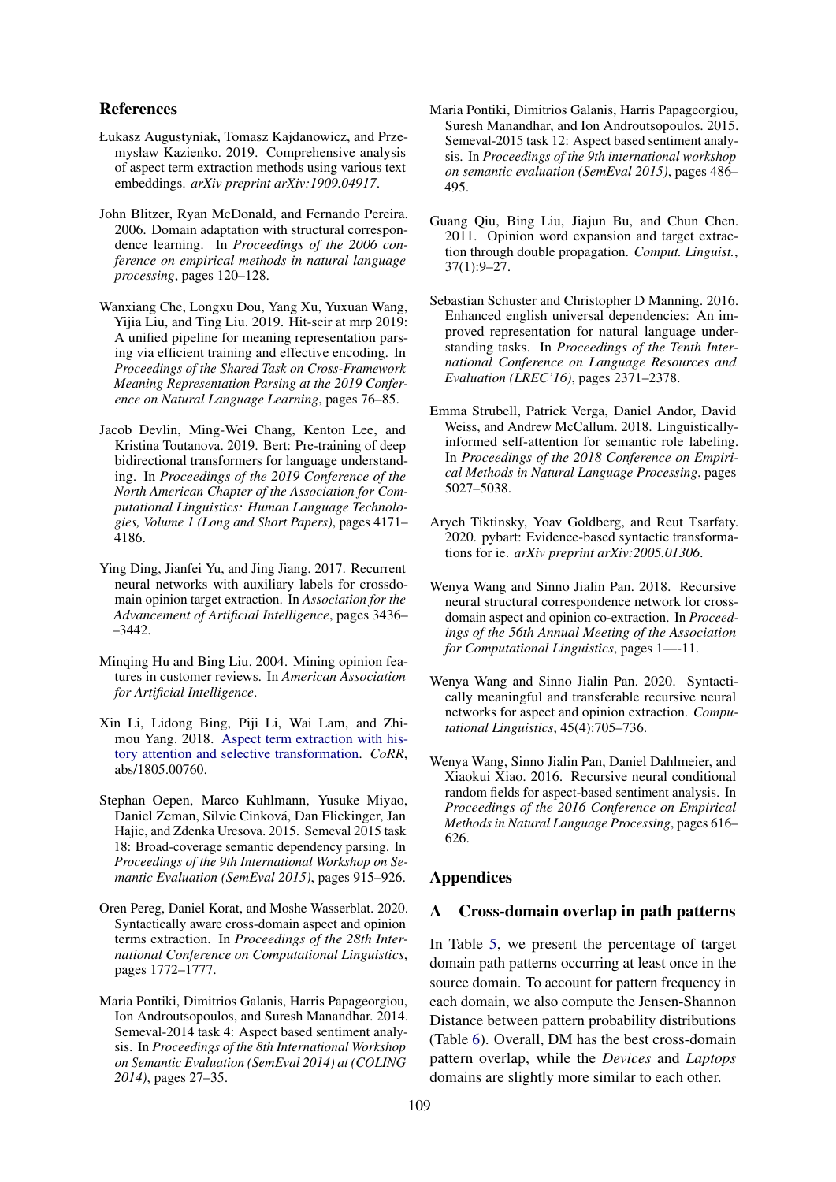### References

- <span id="page-5-11"></span>Łukasz Augustyniak, Tomasz Kajdanowicz, and Przemysław Kazienko. 2019. Comprehensive analysis of aspect term extraction methods using various text embeddings. *arXiv preprint arXiv:1909.04917*.
- <span id="page-5-4"></span>John Blitzer, Ryan McDonald, and Fernando Pereira. 2006. Domain adaptation with structural correspondence learning. In *Proceedings of the 2006 conference on empirical methods in natural language processing*, pages 120–128.
- <span id="page-5-14"></span>Wanxiang Che, Longxu Dou, Yang Xu, Yuxuan Wang, Yijia Liu, and Ting Liu. 2019. Hit-scir at mrp 2019: A unified pipeline for meaning representation parsing via efficient training and effective encoding. In *Proceedings of the Shared Task on Cross-Framework Meaning Representation Parsing at the 2019 Conference on Natural Language Learning*, pages 76–85.
- <span id="page-5-8"></span>Jacob Devlin, Ming-Wei Chang, Kenton Lee, and Kristina Toutanova. 2019. Bert: Pre-training of deep bidirectional transformers for language understanding. In *Proceedings of the 2019 Conference of the North American Chapter of the Association for Computational Linguistics: Human Language Technologies, Volume 1 (Long and Short Papers)*, pages 4171– 4186.
- <span id="page-5-6"></span>Ying Ding, Jianfei Yu, and Jing Jiang. 2017. Recurrent neural networks with auxiliary labels for crossdomain opinion target extraction. In *Association for the Advancement of Artificial Intelligence*, pages 3436– –3442.
- <span id="page-5-5"></span>Minqing Hu and Bing Liu. 2004. Mining opinion features in customer reviews. In *American Association for Artificial Intelligence*.
- <span id="page-5-10"></span>Xin Li, Lidong Bing, Piji Li, Wai Lam, and Zhimou Yang. 2018. [Aspect term extraction with his](http://arxiv.org/abs/1805.00760)[tory attention and selective transformation.](http://arxiv.org/abs/1805.00760) *CoRR*, abs/1805.00760.
- <span id="page-5-13"></span>Stephan Oepen, Marco Kuhlmann, Yusuke Miyao, Daniel Zeman, Silvie Cinková, Dan Flickinger, Jan Hajic, and Zdenka Uresova. 2015. Semeval 2015 task 18: Broad-coverage semantic dependency parsing. In *Proceedings of the 9th International Workshop on Semantic Evaluation (SemEval 2015)*, pages 915–926.
- <span id="page-5-3"></span>Oren Pereg, Daniel Korat, and Moshe Wasserblat. 2020. Syntactically aware cross-domain aspect and opinion terms extraction. In *Proceedings of the 28th International Conference on Computational Linguistics*, pages 1772–1777.
- <span id="page-5-0"></span>Maria Pontiki, Dimitrios Galanis, Harris Papageorgiou, Ion Androutsopoulos, and Suresh Manandhar. 2014. Semeval-2014 task 4: Aspect based sentiment analysis. In *Proceedings of the 8th International Workshop on Semantic Evaluation (SemEval 2014) at (COLING 2014)*, pages 27–35.
- <span id="page-5-1"></span>Maria Pontiki, Dimitrios Galanis, Harris Papageorgiou, Suresh Manandhar, and Ion Androutsopoulos. 2015. Semeval-2015 task 12: Aspect based sentiment analysis. In *Proceedings of the 9th international workshop on semantic evaluation (SemEval 2015)*, pages 486– 495.
- <span id="page-5-12"></span>Guang Qiu, Bing Liu, Jiajun Bu, and Chun Chen. 2011. Opinion word expansion and target extraction through double propagation. *Comput. Linguist.*, 37(1):9–27.
- <span id="page-5-16"></span>Sebastian Schuster and Christopher D Manning. 2016. Enhanced english universal dependencies: An improved representation for natural language understanding tasks. In *Proceedings of the Tenth International Conference on Language Resources and Evaluation (LREC'16)*, pages 2371–2378.
- <span id="page-5-18"></span>Emma Strubell, Patrick Verga, Daniel Andor, David Weiss, and Andrew McCallum. 2018. Linguisticallyinformed self-attention for semantic role labeling. In *Proceedings of the 2018 Conference on Empirical Methods in Natural Language Processing*, pages 5027–5038.
- <span id="page-5-17"></span>Aryeh Tiktinsky, Yoav Goldberg, and Reut Tsarfaty. 2020. pybart: Evidence-based syntactic transformations for ie. *arXiv preprint arXiv:2005.01306*.
- <span id="page-5-7"></span>Wenya Wang and Sinno Jialin Pan. 2018. Recursive neural structural correspondence network for crossdomain aspect and opinion co-extraction. In *Proceedings of the 56th Annual Meeting of the Association for Computational Linguistics*, pages 1—-11.
- <span id="page-5-2"></span>Wenya Wang and Sinno Jialin Pan. 2020. Syntactically meaningful and transferable recursive neural networks for aspect and opinion extraction. *Computational Linguistics*, 45(4):705–736.
- <span id="page-5-9"></span>Wenya Wang, Sinno Jialin Pan, Daniel Dahlmeier, and Xiaokui Xiao. 2016. Recursive neural conditional random fields for aspect-based sentiment analysis. In *Proceedings of the 2016 Conference on Empirical Methods in Natural Language Processing*, pages 616– 626.

### Appendices

#### <span id="page-5-15"></span>A Cross-domain overlap in path patterns

In Table [5,](#page-6-3) we present the percentage of target domain path patterns occurring at least once in the source domain. To account for pattern frequency in each domain, we also compute the Jensen-Shannon Distance between pattern probability distributions (Table [6\)](#page-6-1). Overall, DM has the best cross-domain pattern overlap, while the *Devices* and *Laptops* domains are slightly more similar to each other.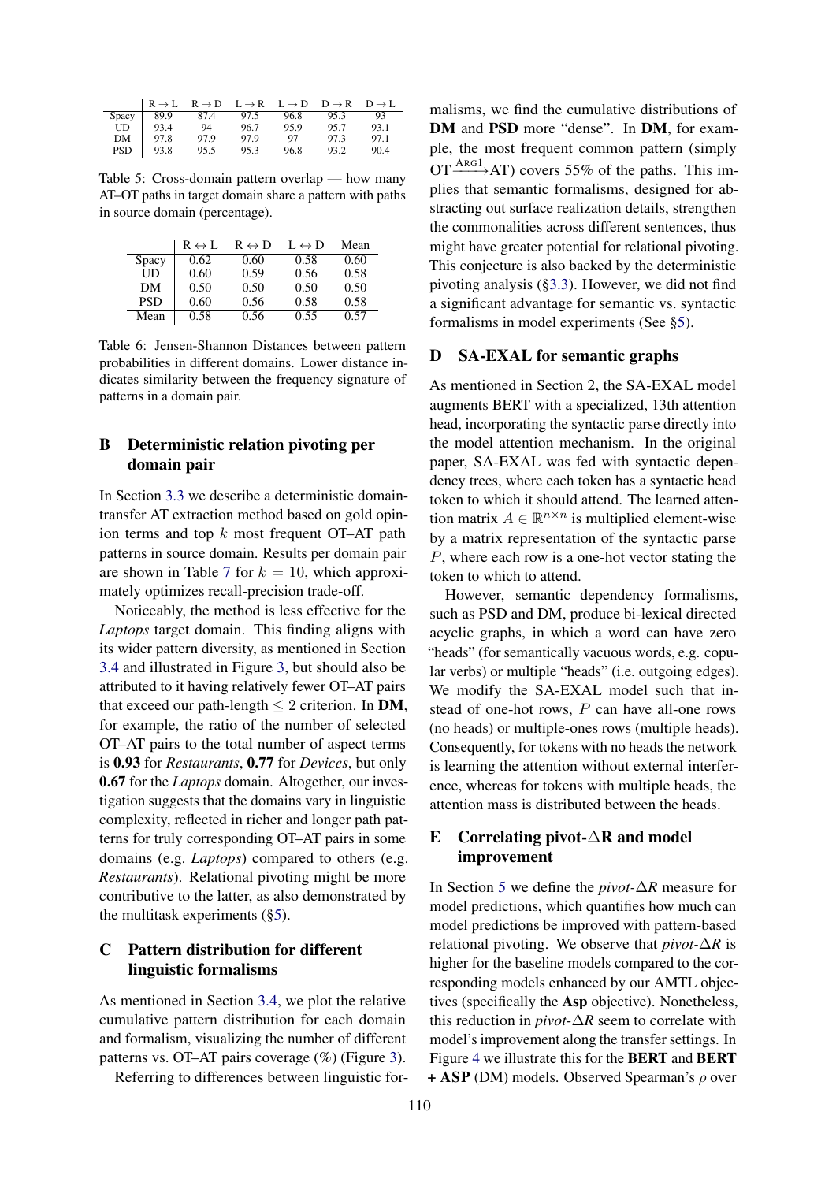<span id="page-6-3"></span>

|       | $R \rightarrow L$ | $R \rightarrow D$ | $L \rightarrow R$ | $L \rightarrow D$ | $D \rightarrow R$ | $D \rightarrow L$ |
|-------|-------------------|-------------------|-------------------|-------------------|-------------------|-------------------|
| Spacy | 899               | 87.4              | 97.5              | 96.8              | 953               | 93                |
| UD    | 93.4              | 94                | 96.7              | 95.9              | 95.7              | 93.1              |
| DМ    | 97.8              | 97.9              | 97.9              | 97                | 97.3              | 97.1              |
| PSD   | 93.8              | 95.5              | 95.3              | 96.8              | 93.2              | 90.4              |

Table 5: Cross-domain pattern overlap — how many AT–OT paths in target domain share a pattern with paths in source domain (percentage).

<span id="page-6-1"></span>

|            | $R \leftrightarrow L$ | $R \leftrightarrow D$ | $L \leftrightarrow D$ | Mean |
|------------|-----------------------|-----------------------|-----------------------|------|
| Spacy      | 0.62                  | 0.60                  | 0.58                  | 0.60 |
| UD         | 0.60                  | 0.59                  | 0.56                  | 0.58 |
| DМ         | 0.50                  | 0.50                  | 0.50                  | 0.50 |
| <b>PSD</b> | 0.60                  | 0.56                  | 0.58                  | 0.58 |
| Mean       | 0.58                  | 0.56                  | 0.55                  | 0.57 |

Table 6: Jensen-Shannon Distances between pattern probabilities in different domains. Lower distance indicates similarity between the frequency signature of patterns in a domain pair.

## <span id="page-6-0"></span>B Deterministic relation pivoting per domain pair

In Section [3.3](#page-2-7) we describe a deterministic domaintransfer AT extraction method based on gold opinion terms and top  $k$  most frequent OT–AT path patterns in source domain. Results per domain pair are shown in Table [7](#page-7-1) for  $k = 10$ , which approximately optimizes recall-precision trade-off.

Noticeably, the method is less effective for the *Laptops* target domain. This finding aligns with its wider pattern diversity, as mentioned in Section [3.4](#page-3-1) and illustrated in Figure [3,](#page-7-0) but should also be attributed to it having relatively fewer OT–AT pairs that exceed our path-length  $\leq 2$  criterion. In DM, for example, the ratio of the number of selected OT–AT pairs to the total number of aspect terms is 0.93 for *Restaurants*, 0.77 for *Devices*, but only 0.67 for the *Laptops* domain. Altogether, our investigation suggests that the domains vary in linguistic complexity, reflected in richer and longer path patterns for truly corresponding OT–AT pairs in some domains (e.g. *Laptops*) compared to others (e.g. *Restaurants*). Relational pivoting might be more contributive to the latter, as also demonstrated by the multitask experiments ([§5\)](#page-4-0).

## C Pattern distribution for different linguistic formalisms

As mentioned in Section [3.4,](#page-3-1) we plot the relative cumulative pattern distribution for each domain and formalism, visualizing the number of different patterns vs. OT–AT pairs coverage (%) (Figure [3\)](#page-7-0).

Referring to differences between linguistic for-

malisms, we find the cumulative distributions of DM and PSD more "dense". In DM, for example, the most frequent common pattern (simply  $OT \xrightarrow{\text{ARG1}} AT$ ) covers 55% of the paths. This implies that semantic formalisms, designed for abstracting out surface realization details, strengthen the commonalities across different sentences, thus might have greater potential for relational pivoting. This conjecture is also backed by the deterministic pivoting analysis ([§3.3\)](#page-2-7). However, we did not find a significant advantage for semantic vs. syntactic formalisms in model experiments (See [§5\)](#page-4-0).

### D SA-EXAL for semantic graphs

As mentioned in Section 2, the SA-EXAL model augments BERT with a specialized, 13th attention head, incorporating the syntactic parse directly into the model attention mechanism. In the original paper, SA-EXAL was fed with syntactic dependency trees, where each token has a syntactic head token to which it should attend. The learned attention matrix  $A \in \mathbb{R}^{n \times n}$  is multiplied element-wise by a matrix representation of the syntactic parse P, where each row is a one-hot vector stating the token to which to attend.

However, semantic dependency formalisms, such as PSD and DM, produce bi-lexical directed acyclic graphs, in which a word can have zero "heads" (for semantically vacuous words, e.g. copular verbs) or multiple "heads" (i.e. outgoing edges). We modify the SA-EXAL model such that instead of one-hot rows, P can have all-one rows (no heads) or multiple-ones rows (multiple heads). Consequently, for tokens with no heads the network is learning the attention without external interference, whereas for tokens with multiple heads, the attention mass is distributed between the heads.

## <span id="page-6-2"></span>E Correlating pivot-∆R and model improvement

In Section [5](#page-4-0) we define the *pivot-*∆*R* measure for model predictions, which quantifies how much can model predictions be improved with pattern-based relational pivoting. We observe that *pivot-*∆*R* is higher for the baseline models compared to the corresponding models enhanced by our AMTL objectives (specifically the Asp objective). Nonetheless, this reduction in *pivot-*∆*R* seem to correlate with model's improvement along the transfer settings. In Figure [4](#page-8-0) we illustrate this for the BERT and BERT  $+$  ASP (DM) models. Observed Spearman's  $\rho$  over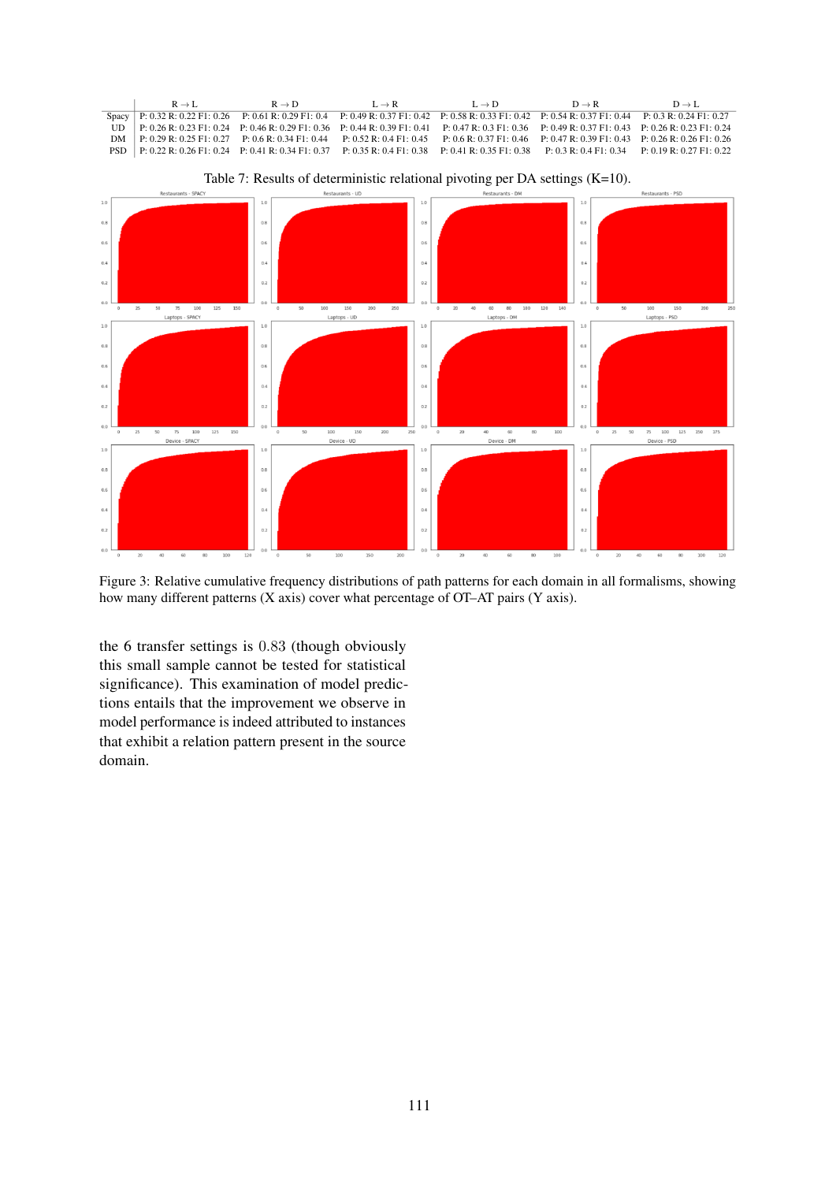<span id="page-7-1"></span><span id="page-7-0"></span>

Figure 3: Relative cumulative frequency distributions of path patterns for each domain in all formalisms, showing how many different patterns (X axis) cover what percentage of OT–AT pairs (Y axis).

the 6 transfer settings is 0.83 (though obviously this small sample cannot be tested for statistical significance). This examination of model predictions entails that the improvement we observe in model performance is indeed attributed to instances that exhibit a relation pattern present in the source domain.